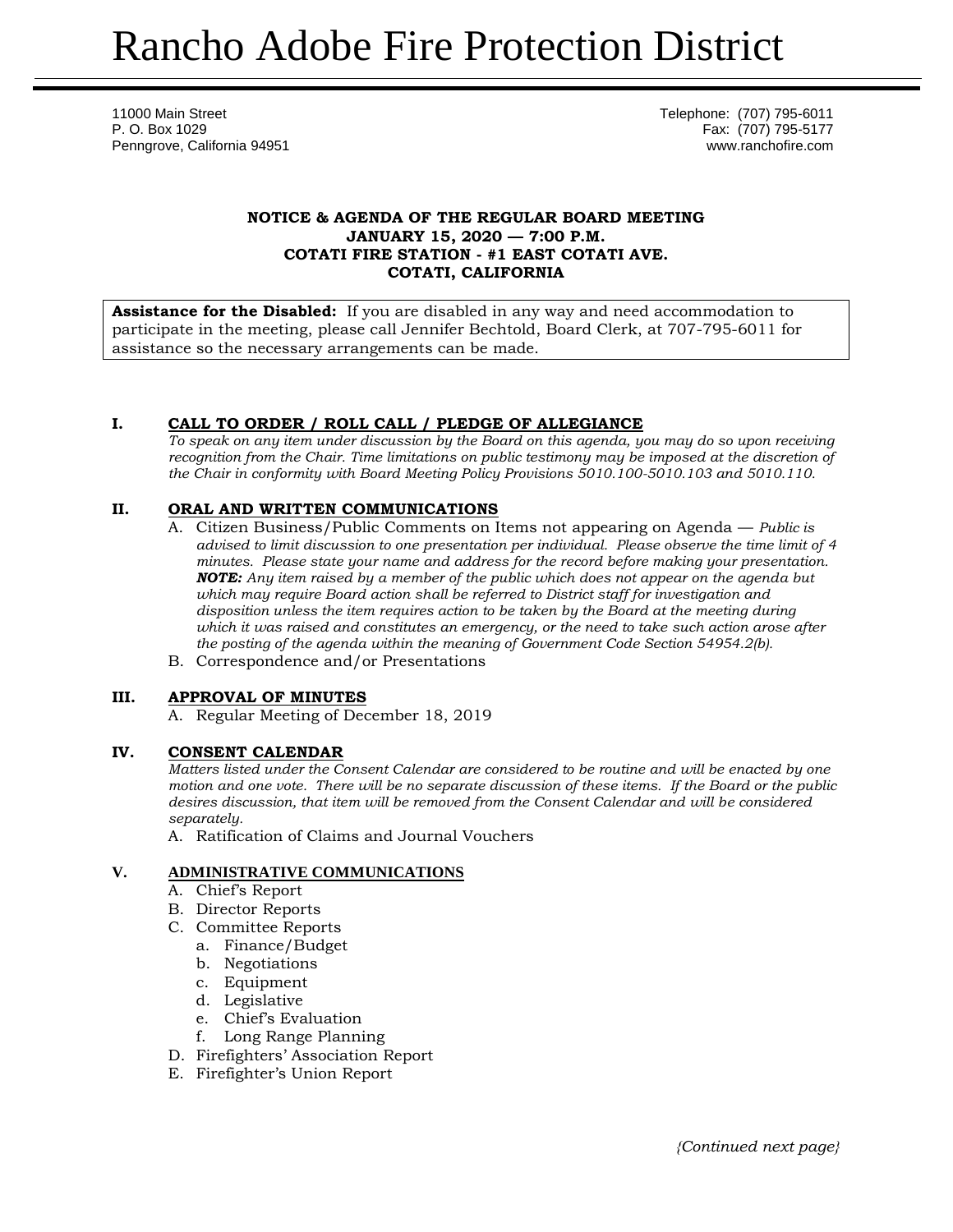11000 Main Street Telephone: (707) 795-6011 P. O. Box 1029 Fax: (707) 795-5177 Penngrove, California 94951 www.ranchofire.com

## **NOTICE & AGENDA OF THE REGULAR BOARD MEETING JANUARY 15, 2020 — 7:00 P.M. COTATI FIRE STATION - #1 EAST COTATI AVE. COTATI, CALIFORNIA**

**Assistance for the Disabled:** If you are disabled in any way and need accommodation to participate in the meeting, please call Jennifer Bechtold, Board Clerk, at 707-795-6011 for assistance so the necessary arrangements can be made.

# **I. CALL TO ORDER / ROLL CALL / PLEDGE OF ALLEGIANCE**

*To speak on any item under discussion by the Board on this agenda, you may do so upon receiving recognition from the Chair. Time limitations on public testimony may be imposed at the discretion of the Chair in conformity with Board Meeting Policy Provisions 5010.100-5010.103 and 5010.110.*

# **II. ORAL AND WRITTEN COMMUNICATIONS**

- A. Citizen Business/Public Comments on Items not appearing on Agenda *Public is advised to limit discussion to one presentation per individual. Please observe the time limit of 4 minutes. Please state your name and address for the record before making your presentation. NOTE: Any item raised by a member of the public which does not appear on the agenda but which may require Board action shall be referred to District staff for investigation and disposition unless the item requires action to be taken by the Board at the meeting during which it was raised and constitutes an emergency, or the need to take such action arose after the posting of the agenda within the meaning of Government Code Section 54954.2(b).*
- B. Correspondence and/or Presentations

# **III. APPROVAL OF MINUTES**

A. Regular Meeting of December 18, 2019

### **IV. CONSENT CALENDAR**

*Matters listed under the Consent Calendar are considered to be routine and will be enacted by one motion and one vote. There will be no separate discussion of these items. If the Board or the public desires discussion, that item will be removed from the Consent Calendar and will be considered separately.*

A. Ratification of Claims and Journal Vouchers

# **V. ADMINISTRATIVE COMMUNICATIONS**

- A. Chief's Report
- B. Director Reports
- C. Committee Reports
	- a. Finance/Budget
	- b. Negotiations
	- c. Equipment
	- d. Legislative
	- e. Chief's Evaluation
	- f. Long Range Planning
- D. Firefighters' Association Report
- E. Firefighter's Union Report